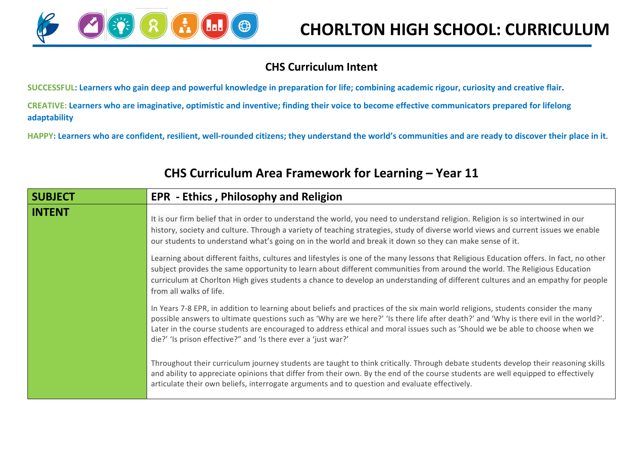

## **CHS Curriculum Intent**

**SUCCESSFUL: Learners who gain deep and powerful knowledge in preparation for life; combining academic rigour, curiosity and creative flair.**

**CREATIVE: Learners who are imaginative, optimistic and inventive; finding their voice to become effective communicators prepared for lifelong adaptability**

**HAPPY: Learners who are confident, resilient, well-rounded citizens; they understand the world's communities and are ready to discover their place in it.**

| <b>SUBJECT</b> | <b>EPR</b> - Ethics, Philosophy and Religion                                                                                                                                                                                                                                                                                                                                                                                                                                |
|----------------|-----------------------------------------------------------------------------------------------------------------------------------------------------------------------------------------------------------------------------------------------------------------------------------------------------------------------------------------------------------------------------------------------------------------------------------------------------------------------------|
| <b>INTENT</b>  | It is our firm belief that in order to understand the world, you need to understand religion. Religion is so intertwined in our<br>history, society and culture. Through a variety of teaching strategies, study of diverse world views and current issues we enable<br>our students to understand what's going on in the world and break it down so they can make sense of it.                                                                                             |
|                | Learning about different faiths, cultures and lifestyles is one of the many lessons that Religious Education offers. In fact, no other<br>subject provides the same opportunity to learn about different communities from around the world. The Religious Education<br>curriculum at Chorlton High gives students a chance to develop an understanding of different cultures and an empathy for people<br>from all walks of life.                                           |
|                | In Years 7-8 EPR, in addition to learning about beliefs and practices of the six main world religions, students consider the many<br>possible answers to ultimate questions such as 'Why are we here?' 'Is there life after death?' and 'Why is there evil in the world?'.<br>Later in the course students are encouraged to address ethical and moral issues such as 'Should we be able to choose when we<br>die?' 'Is prison effective?" and 'Is there ever a 'just war?' |
|                | Throughout their curriculum journey students are taught to think critically. Through debate students develop their reasoning skills<br>and ability to appreciate opinions that differ from their own. By the end of the course students are well equipped to effectively<br>articulate their own beliefs, interrogate arguments and to question and evaluate effectively.                                                                                                   |

## **CHS Curriculum Area Framework for Learning – Year 11**